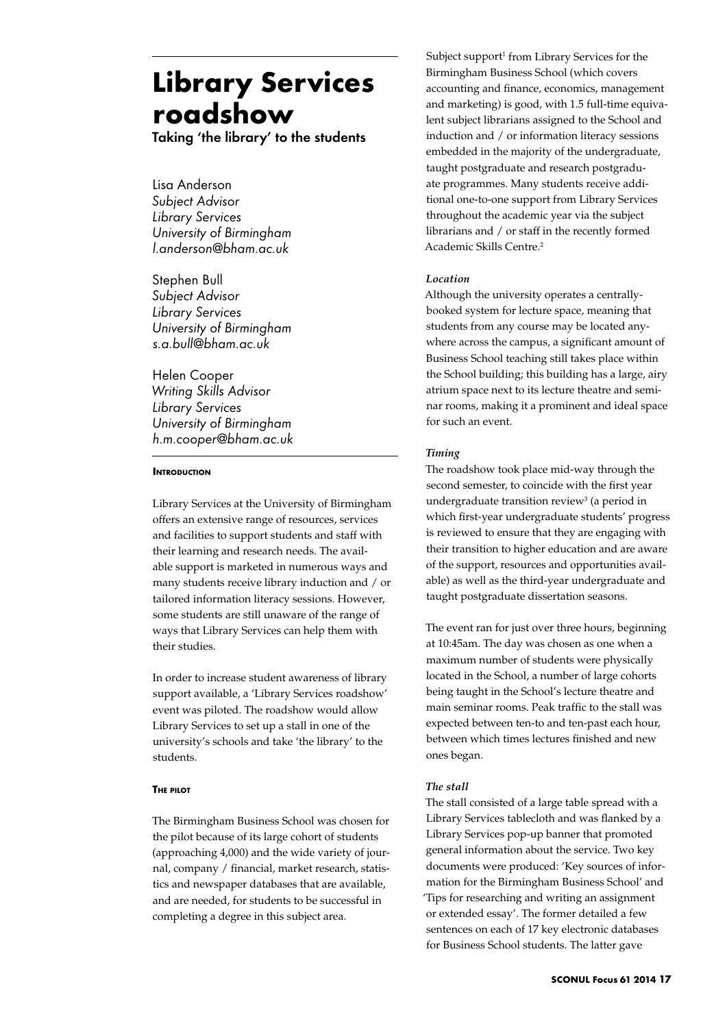# **Library Services roadshow**

Taking 'the library' to the students

Lisa Anderson *Subject Advisor Library Services University of Birmingham l.anderson@bham.ac.uk* 

Stephen Bull *Subject Advisor Library Services University of Birmingham s.a.bull@bham.ac.uk*

Helen Cooper *Writing Skills Advisor Library Services University of Birmingham h.m.cooper@bham.ac.uk*

## **INTRODUCTION**

Library Services at the University of Birmingham offers an extensive range of resources, services and facilities to support students and staff with their learning and research needs. The available support is marketed in numerous ways and many students receive library induction and / or tailored information literacy sessions. However, some students are still unaware of the range of ways that Library Services can help them with their studies.

In order to increase student awareness of library support available, a 'Library Services roadshow' event was piloted. The roadshow would allow Library Services to set up a stall in one of the university's schools and take 'the library' to the students.

### **The pilot**

The Birmingham Business School was chosen for the pilot because of its large cohort of students (approaching 4,000) and the wide variety of journal, company / financial, market research, statistics and newspaper databases that are available, and are needed, for students to be successful in completing a degree in this subject area.

Subject support<sup>1</sup> from Library Services for the Birmingham Business School (which covers accounting and finance, economics, management and marketing) is good, with 1.5 full-time equivalent subject librarians assigned to the School and induction and / or information literacy sessions embedded in the majority of the undergraduate, taught postgraduate and research postgraduate programmes. Many students receive additional one-to-one support from Library Services throughout the academic year via the subject librarians and / or staff in the recently formed Academic Skills Centre.2

## *Location*

Although the university operates a centrallybooked system for lecture space, meaning that students from any course may be located anywhere across the campus, a significant amount of Business School teaching still takes place within the School building; this building has a large, airy atrium space next to its lecture theatre and seminar rooms, making it a prominent and ideal space for such an event.

# *Timing*

The roadshow took place mid-way through the second semester, to coincide with the first year undergraduate transition review<sup>3</sup> (a period in which first-year undergraduate students' progress is reviewed to ensure that they are engaging with their transition to higher education and are aware of the support, resources and opportunities available) as well as the third-year undergraduate and taught postgraduate dissertation seasons.

The event ran for just over three hours, beginning at 10:45am. The day was chosen as one when a maximum number of students were physically located in the School, a number of large cohorts being taught in the School's lecture theatre and main seminar rooms. Peak traffic to the stall was expected between ten-to and ten-past each hour, between which times lectures finished and new ones began.

# *The stall*

The stall consisted of a large table spread with a Library Services tablecloth and was flanked by a Library Services pop-up banner that promoted general information about the service. Two key documents were produced: 'Key sources of information for the Birmingham Business School' and 'Tips for researching and writing an assignment or extended essay'. The former detailed a few sentences on each of 17 key electronic databases for Business School students. The latter gave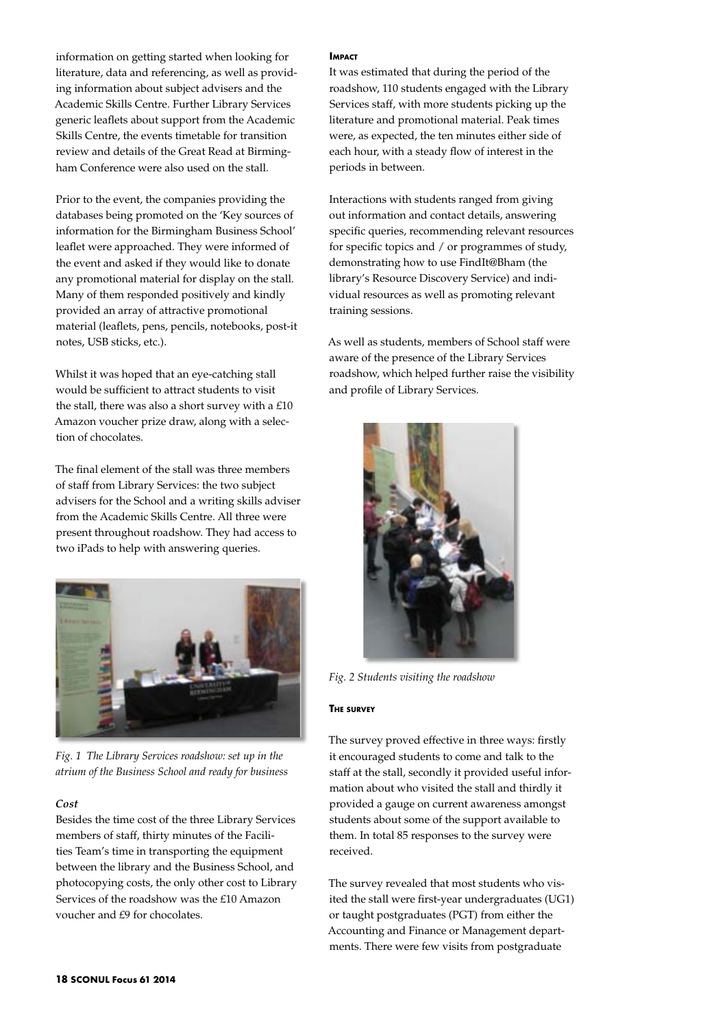information on getting started when looking for literature, data and referencing, as well as providing information about subject advisers and the Academic Skills Centre. Further Library Services generic leaflets about support from the Academic Skills Centre, the events timetable for transition review and details of the Great Read at Birmingham Conference were also used on the stall.

Prior to the event, the companies providing the databases being promoted on the 'Key sources of information for the Birmingham Business School' leaflet were approached. They were informed of the event and asked if they would like to donate any promotional material for display on the stall. Many of them responded positively and kindly provided an array of attractive promotional material (leaflets, pens, pencils, notebooks, post-it notes, USB sticks, etc.).

Whilst it was hoped that an eye-catching stall would be sufficient to attract students to visit the stall, there was also a short survey with a £10 Amazon voucher prize draw, along with a selection of chocolates.

The final element of the stall was three members of staff from Library Services: the two subject advisers for the School and a writing skills adviser from the Academic Skills Centre. All three were present throughout roadshow. They had access to two iPads to help with answering queries.



*Fig. 1 The Library Services roadshow: set up in the atrium of the Business School and ready for business* 

### *Cost*

Besides the time cost of the three Library Services members of staff, thirty minutes of the Facilities Team's time in transporting the equipment between the library and the Business School, and photocopying costs, the only other cost to Library Services of the roadshow was the £10 Amazon voucher and £9 for chocolates.

#### **IMPACT**

It was estimated that during the period of the roadshow, 110 students engaged with the Library Services staff, with more students picking up the literature and promotional material. Peak times were, as expected, the ten minutes either side of each hour, with a steady flow of interest in the periods in between.

Interactions with students ranged from giving out information and contact details, answering specific queries, recommending relevant resources for specific topics and / or programmes of study, demonstrating how to use FindIt@Bham (the library's Resource Discovery Service) and individual resources as well as promoting relevant training sessions.

As well as students, members of School staff were aware of the presence of the Library Services roadshow, which helped further raise the visibility and profile of Library Services.



*Fig. 2 Students visiting the roadshow*

#### **The survey**

The survey proved effective in three ways: firstly it encouraged students to come and talk to the staff at the stall, secondly it provided useful information about who visited the stall and thirdly it provided a gauge on current awareness amongst students about some of the support available to them. In total 85 responses to the survey were received.

The survey revealed that most students who visited the stall were first-year undergraduates (UG1) or taught postgraduates (PGT) from either the Accounting and Finance or Management departments. There were few visits from postgraduate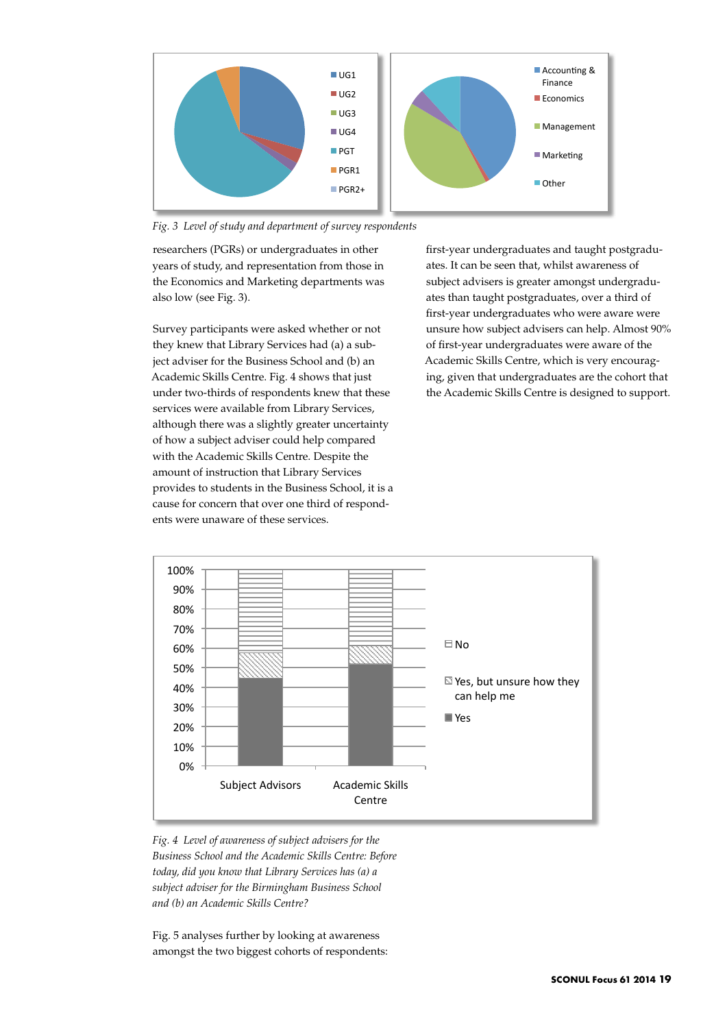

*Fig. 3 Level of study and department of survey respondents*

researchers (PGRs) or undergraduates in other years of study, and representation from those in the Economics and Marketing departments was also low (see Fig. 3).

Survey participants were asked whether or not they knew that Library Services had (a) a subject adviser for the Business School and (b) an Academic Skills Centre. Fig. 4 shows that just under two-thirds of respondents knew that these services were available from Library Services, although there was a slightly greater uncertainty of how a subject adviser could help compared with the Academic Skills Centre. Despite the amount of instruction that Library Services provides to students in the Business School, it is a cause for concern that over one third of respondents were unaware of these services.

first-year undergraduates and taught postgraduates. It can be seen that, whilst awareness of subject advisers is greater amongst undergraduates than taught postgraduates, over a third of first-year undergraduates who were aware were unsure how subject advisers can help. Almost 90% of first-year undergraduates were aware of the Academic Skills Centre, which is very encouraging, given that undergraduates are the cohort that the Academic Skills Centre is designed to support.



*Fig. 4 Level of awareness of subject advisers for the Business School and the Academic Skills Centre: Before today, did you know that Library Services has (a) a subject adviser for the Birmingham Business School and (b) an Academic Skills Centre?*

Fig. 5 analyses further by looking at awareness amongst the two biggest cohorts of respondents: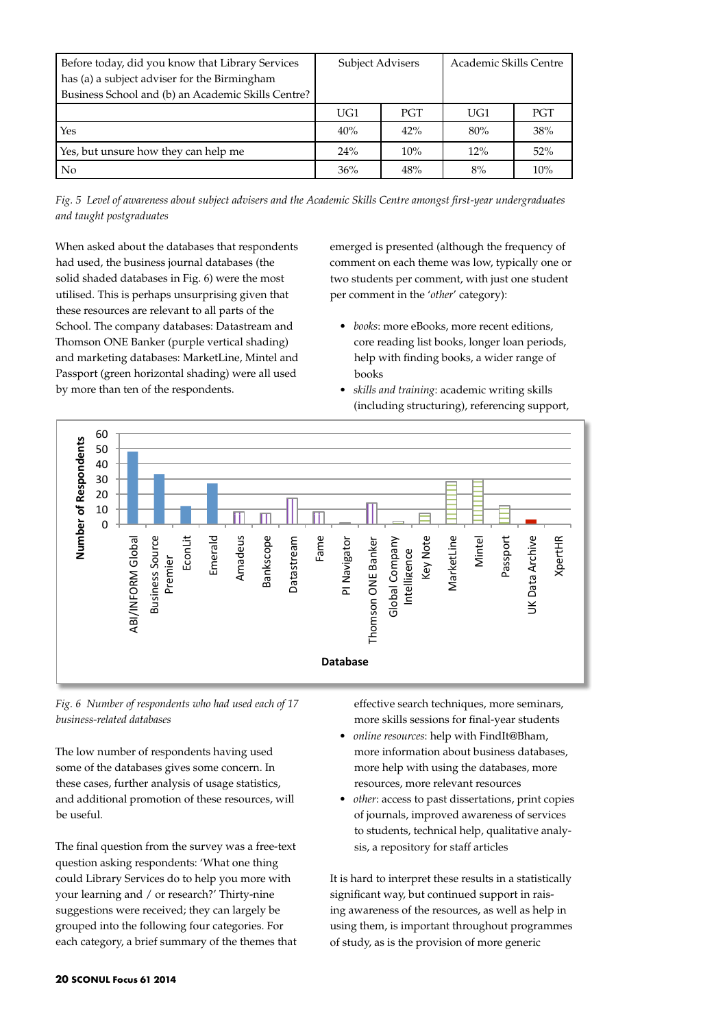| Before today, did you know that Library Services   | Subject Advisers |            | Academic Skills Centre |            |
|----------------------------------------------------|------------------|------------|------------------------|------------|
| has (a) a subject adviser for the Birmingham       |                  |            |                        |            |
| Business School and (b) an Academic Skills Centre? |                  |            |                        |            |
|                                                    | UG1              | <b>PGT</b> | UG1                    | <b>PGT</b> |
| Yes                                                | 40%              | 42%        | 80%                    | 38%        |
| Yes, but unsure how they can help me               | 24%              | 10%        | $12\%$                 | 52%        |
| No                                                 | 36%              | 48%        | 8%                     | 10%        |

*Fig. 5 Level of awareness about subject advisers and the Academic Skills Centre amongst first-year undergraduates and taught postgraduates*

When asked about the databases that respondents had used, the business journal databases (the solid shaded databases in Fig. 6) were the most utilised. This is perhaps unsurprising given that these resources are relevant to all parts of the School. The company databases: Datastream and Thomson ONE Banker (purple vertical shading) and marketing databases: MarketLine, Mintel and Passport (green horizontal shading) were all used by more than ten of the respondents.

emerged is presented (although the frequency of comment on each theme was low, typically one or two students per comment, with just one student per comment in the '*other*' category):

- • *books*: more eBooks, more recent editions, core reading list books, longer loan periods, help with finding books, a wider range of books
- • *skills and training*: academic writing skills (including structuring), referencing support,



*Fig. 6 Number of respondents who had used each of 17 business-related databases*

The low number of respondents having used some of the databases gives some concern. In these cases, further analysis of usage statistics, and additional promotion of these resources, will be useful.

The final question from the survey was a free-text question asking respondents: 'What one thing could Library Services do to help you more with your learning and / or research?' Thirty-nine suggestions were received; they can largely be grouped into the following four categories. For each category, a brief summary of the themes that effective search techniques, more seminars, more skills sessions for final-year students

- online resources: help with FindIt@Bham, more information about business databases, more help with using the databases, more resources, more relevant resources
- other: access to past dissertations, print copies of journals, improved awareness of services to students, technical help, qualitative analysis, a repository for staff articles

It is hard to interpret these results in a statistically significant way, but continued support in raising awareness of the resources, as well as help in using them, is important throughout programmes of study, as is the provision of more generic